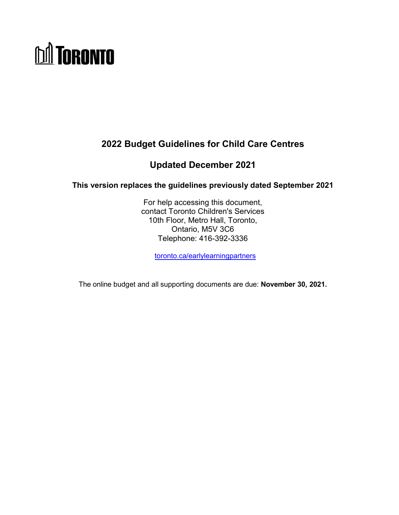# **DA TORONTO**

# **2022 Budget Guidelines for Child Care Centres**

# **Updated December 2021**

**This version replaces the guidelines previously dated September 2021**

For help accessing this document, contact Toronto Children's Services 10th Floor, Metro Hall, Toronto, Ontario, M5V 3C6 Telephone: 416-392-3336

[toronto.ca/earlylearningpartners](http://www.toronto.ca/earlylearningpartners)

The online budget and all supporting documents are due: **November 30, 2021.**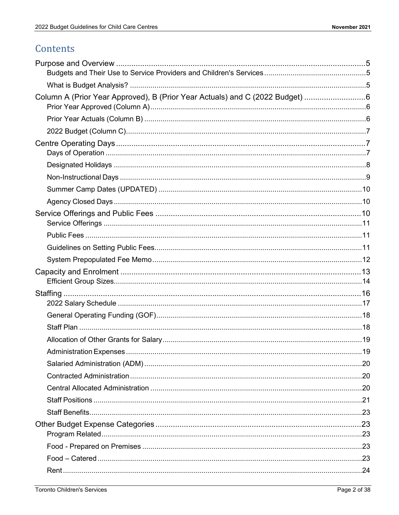# Contents

| Column A (Prior Year Approved), B (Prior Year Actuals) and C (2022 Budget) 6 |  |
|------------------------------------------------------------------------------|--|
|                                                                              |  |
|                                                                              |  |
|                                                                              |  |
|                                                                              |  |
|                                                                              |  |
|                                                                              |  |
|                                                                              |  |
|                                                                              |  |
|                                                                              |  |
|                                                                              |  |
|                                                                              |  |
|                                                                              |  |
|                                                                              |  |
|                                                                              |  |
|                                                                              |  |
|                                                                              |  |
|                                                                              |  |
|                                                                              |  |
|                                                                              |  |
|                                                                              |  |
|                                                                              |  |
|                                                                              |  |
|                                                                              |  |
|                                                                              |  |
|                                                                              |  |
|                                                                              |  |
|                                                                              |  |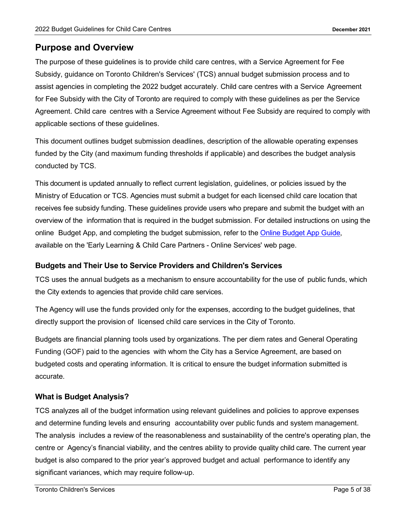## <span id="page-4-0"></span>**Purpose and Overview**

The purpose of these guidelines is to provide child care centres, with a Service Agreement for Fee Subsidy, guidance on Toronto Children's Services' (TCS) annual budget submission process and to assist agencies in completing the 2022 budget accurately. Child care centres with a Service Agreement for Fee Subsidy with the City of Toronto are required to comply with these guidelines as per the Service Agreement. Child care centres with a Service Agreement without Fee Subsidy are required to comply with applicable sections of these guidelines.

This document outlines budget submission deadlines, description of the allowable operating expenses funded by the City (and maximum funding thresholds if applicable) and describes the budget analysis conducted by TCS.

This document is updated annually to reflect current legislation, guidelines, or policies issued by the Ministry of Education or TCS. Agencies must submit a budget for each licensed child care location that receives fee subsidy funding. These guidelines provide users who prepare and submit the budget with an overview of the information that is required in the budget submission. For detailed instructions on using the online Budget App, and completing the budget submission, refer to the Online [Budget App](https://www.toronto.ca/community-people/community-partners/early-learning-child-care-partners/online-services/) Guide, available on the 'Early Learning & Child Care Partners - Online Services' web page.

#### <span id="page-4-1"></span>**Budgets and Their Use to Service Providers and Children's Services**

TCS uses the annual budgets as a mechanism to ensure accountability for the use of public funds, which the City extends to agencies that provide child care services.

The Agency will use the funds provided only for the expenses, according to the budget guidelines, that directly support the provision of licensed child care services in the City of Toronto.

Budgets are financial planning tools used by organizations. The per diem rates and General Operating Funding (GOF) paid to the agencies with whom the City has a Service Agreement, are based on budgeted costs and operating information. It is critical to ensure the budget information submitted is accurate.

#### <span id="page-4-2"></span>**What is Budget Analysis?**

TCS analyzes all of the budget information using relevant guidelines and policies to approve expenses and determine funding levels and ensuring accountability over public funds and system management. The analysis includes a review of the reasonableness and sustainability of the centre's operating plan, the centre or Agency's financial viability, and the centres ability to provide quality child care. The current year budget is also compared to the prior year's approved budget and actual performance to identify any significant variances, which may require follow-up.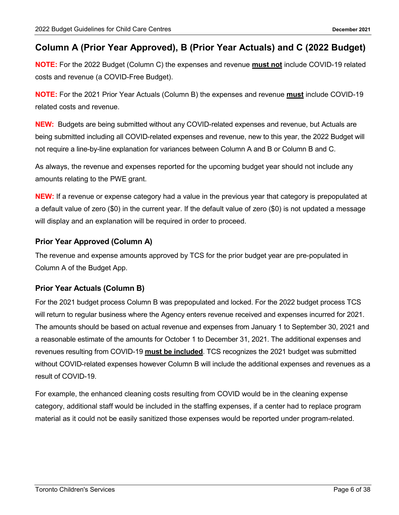## <span id="page-5-0"></span>**Column A (Prior Year Approved), B (Prior Year Actuals) and C (2022 Budget)**

**NOTE:** For the 2022 Budget (Column C) the expenses and revenue **must not** include COVID-19 related costs and revenue (a COVID-Free Budget).

**NOTE:** For the 2021 Prior Year Actuals (Column B) the expenses and revenue **must** include COVID-19 related costs and revenue.

**NEW:** Budgets are being submitted without any COVID-related expenses and revenue, but Actuals are being submitted including all COVID-related expenses and revenue, new to this year, the 2022 Budget will not require a line-by-line explanation for variances between Column A and B or Column B and C.

As always, the revenue and expenses reported for the upcoming budget year should not include any amounts relating to the PWE grant.

**NEW:** If a revenue or expense category had a value in the previous year that category is prepopulated at a default value of zero (\$0) in the current year. If the default value of zero (\$0) is not updated a message will display and an explanation will be required in order to proceed.

#### <span id="page-5-1"></span>**Prior Year Approved (Column A)**

The revenue and expense amounts approved by TCS for the prior budget year are pre-populated in Column A of the Budget App.

#### <span id="page-5-2"></span>**Prior Year Actuals (Column B)**

For the 2021 budget process Column B was prepopulated and locked. For the 2022 budget process TCS will return to regular business where the Agency enters revenue received and expenses incurred for 2021. The amounts should be based on actual revenue and expenses from January 1 to September 30, 2021 and a reasonable estimate of the amounts for October 1 to December 31, 2021. The additional expenses and revenues resulting from COVID-19 **must be included**. TCS recognizes the 2021 budget was submitted without COVID-related expenses however Column B will include the additional expenses and revenues as a result of COVID-19.

For example, the enhanced cleaning costs resulting from COVID would be in the cleaning expense category, additional staff would be included in the staffing expenses, if a center had to replace program material as it could not be easily sanitized those expenses would be reported under program-related.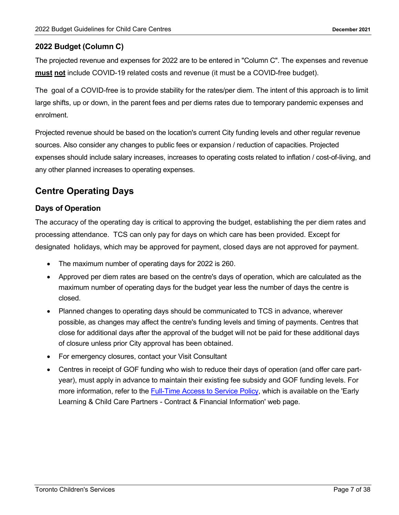#### <span id="page-6-0"></span>**2022 Budget (Column C)**

The projected revenue and expenses for 2022 are to be entered in "Column C". The expenses and revenue **must not** include COVID-19 related costs and revenue (it must be a COVID-free budget).

The goal of a COVID-free is to provide stability for the rates/per diem. The intent of this approach is to limit large shifts, up or down, in the parent fees and per diems rates due to temporary pandemic expenses and enrolment.

Projected revenue should be based on the location's current City funding levels and other regular revenue sources. Also consider any changes to public fees or expansion / reduction of capacities. Projected expenses should include salary increases, increases to operating costs related to inflation / cost-of-living, and any other planned increases to operating expenses.

## <span id="page-6-1"></span>**Centre Operating Days**

#### <span id="page-6-2"></span>**Days of Operation**

The accuracy of the operating day is critical to approving the budget, establishing the per diem rates and processing attendance. TCS can only pay for days on which care has been provided. Except for designated holidays, which may be approved for payment, closed days are not approved for payment.

- The maximum number of operating days for 2022 is 260.
- Approved per diem rates are based on the centre's days of operation, which are calculated as the maximum number of operating days for the budget year less the number of days the centre is closed.
- Planned changes to operating days should be communicated to TCS in advance, wherever possible, as changes may affect the centre's funding levels and timing of payments. Centres that close for additional days after the approval of the budget will not be paid for these additional days of closure unless prior City approval has been obtained.
- For emergency closures, contact your Visit Consultant
- Centres in receipt of GOF funding who wish to reduce their days of operation (and offer care partyear), must apply in advance to maintain their existing fee subsidy and GOF funding levels. For more information, refer to the [Full-Time Access to Service Policy,](https://www.toronto.ca/community-people/community-partners/early-learning-child-care-partners/financial-information/full-time-access-to-service/) which is available on the 'Early Learning & Child Care Partners - Contract & Financial Information' web page.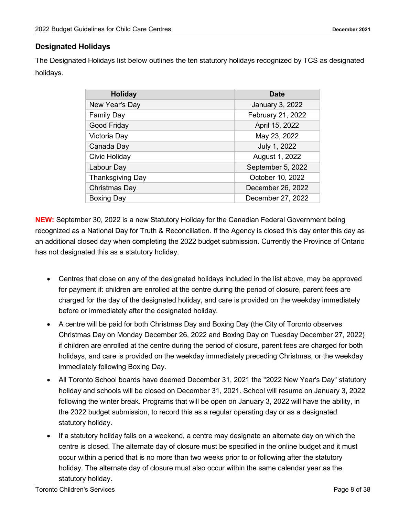#### <span id="page-7-0"></span>**Designated Holidays**

The Designated Holidays list below outlines the ten statutory holidays recognized by TCS as designated holidays.

| <b>Holiday</b>          | <b>Date</b>       |
|-------------------------|-------------------|
| New Year's Day          | January 3, 2022   |
| <b>Family Day</b>       | February 21, 2022 |
| Good Friday             | April 15, 2022    |
| Victoria Day            | May 23, 2022      |
| Canada Day              | July 1, 2022      |
| Civic Holiday           | August 1, 2022    |
| Labour Day              | September 5, 2022 |
| <b>Thanksgiving Day</b> | October 10, 2022  |
| Christmas Day           | December 26, 2022 |
| <b>Boxing Day</b>       | December 27, 2022 |

**NEW:** September 30, 2022 is a new Statutory Holiday for the Canadian Federal Government being recognized as a National Day for Truth & Reconciliation. If the Agency is closed this day enter this day as an additional closed day when completing the 2022 budget submission. Currently the Province of Ontario has not designated this as a statutory holiday.

- Centres that close on any of the designated holidays included in the list above, may be approved for payment if: children are enrolled at the centre during the period of closure, parent fees are charged for the day of the designated holiday, and care is provided on the weekday immediately before or immediately after the designated holiday.
- A centre will be paid for both Christmas Day and Boxing Day (the City of Toronto observes Christmas Day on Monday December 26, 2022 and Boxing Day on Tuesday December 27, 2022) if children are enrolled at the centre during the period of closure, parent fees are charged for both holidays, and care is provided on the weekday immediately preceding Christmas, or the weekday immediately following Boxing Day.
- All Toronto School boards have deemed December 31, 2021 the "2022 New Year's Day" statutory holiday and schools will be closed on December 31, 2021. School will resume on January 3, 2022 following the winter break. Programs that will be open on January 3, 2022 will have the ability, in the 2022 budget submission, to record this as a regular operating day or as a designated statutory holiday.
- If a statutory holiday falls on a weekend, a centre may designate an alternate day on which the centre is closed. The alternate day of closure must be specified in the online budget and it must occur within a period that is no more than two weeks prior to or following after the statutory holiday. The alternate day of closure must also occur within the same calendar year as the statutory holiday.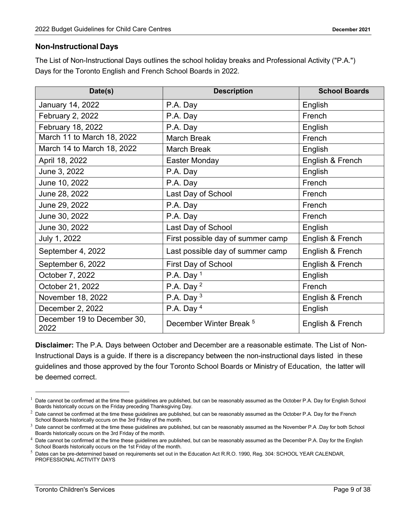#### <span id="page-8-0"></span>**Non-Instructional Days**

The List of Non-Instructional Days outlines the school holiday breaks and Professional Activity ("P.A.") Days for the Toronto English and French School Boards in 2022.

| Date(s)                             | <b>Description</b>                 | <b>School Boards</b> |
|-------------------------------------|------------------------------------|----------------------|
| January 14, 2022                    | P.A. Day                           | English              |
| February 2, 2022                    | P.A. Day                           | French               |
| February 18, 2022                   | P.A. Day                           | English              |
| March 11 to March 18, 2022          | <b>March Break</b>                 | French               |
| March 14 to March 18, 2022          | <b>March Break</b>                 | English              |
| April 18, 2022                      | <b>Easter Monday</b>               | English & French     |
| June 3, 2022                        | P.A. Day                           | English              |
| June 10, 2022                       | P.A. Day                           | French               |
| June 28, 2022                       | Last Day of School                 | French               |
| June 29, 2022                       | P.A. Day                           | French               |
| June 30, 2022                       | P.A. Day                           | French               |
| June 30, 2022                       | Last Day of School                 | English              |
| July 1, 2022                        | First possible day of summer camp  | English & French     |
| September 4, 2022                   | Last possible day of summer camp   | English & French     |
| September 6, 2022                   | <b>First Day of School</b>         | English & French     |
| October 7, 2022                     | P.A. Day $1$                       | English              |
| October 21, 2022                    | P.A. Day $2$                       | French               |
| November 18, 2022                   | P.A. Day $3$                       | English & French     |
| December 2, 2022                    | P.A. Day $4$                       | English              |
| December 19 to December 30,<br>2022 | December Winter Break <sup>5</sup> | English & French     |

**Disclaimer:** The P.A. Days between October and December are a reasonable estimate. The List of Non-Instructional Days is a guide. If there is a discrepancy between the non-instructional days listed in these guidelines and those approved by the four Toronto School Boards or Ministry of Education, the latter will be deemed correct.

 $<sup>1</sup>$  Date cannot be confirmed at the time these guidelines are published, but can be reasonably assumed as the October P.A. Day for English School</sup> Boards historically occurs on the Friday preceding Thanksgiving Day.

 $^2$  Date cannot be confirmed at the time these guidelines are published, but can be reasonably assumed as the October P.A. Day for the French School Boards historically occurs on the 3rd Friday of the month.

 $3$  Date cannot be confirmed at the time these guidelines are published, but can be reasonably assumed as the November P.A .Day for both School Boards historically occurs on the 3rd Friday of the month.

 $4$  Date cannot be confirmed at the time these guidelines are published, but can be reasonably assumed as the December P.A. Day for the English School Boards historically occurs on the 1st Friday of the month.

<sup>&</sup>lt;sup>5</sup> Dates can be pre-determined based on requirements set out in the Education Act R.R.O. 1990, Reg. 304: SCHOOL YEAR CALENDAR, PROFESSIONAL ACTIVITY DAYS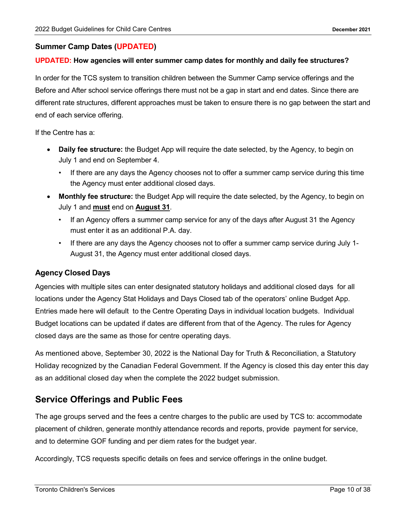#### <span id="page-9-0"></span>**Summer Camp Dates (UPDATED)**

#### **UPDATED: How agencies will enter summer camp dates for monthly and daily fee structures?**

In order for the TCS system to transition children between the Summer Camp service offerings and the Before and After school service offerings there must not be a gap in start and end dates. Since there are different rate structures, different approaches must be taken to ensure there is no gap between the start and end of each service offering.

If the Centre has a:

- **Daily fee structure:** the Budget App will require the date selected, by the Agency, to begin on July 1 and end on September 4.
	- If there are any days the Agency chooses not to offer a summer camp service during this time the Agency must enter additional closed days.
- **Monthly fee structure:** the Budget App will require the date selected, by the Agency, to begin on July 1 and **must** end on **August 31**.
	- If an Agency offers a summer camp service for any of the days after August 31 the Agency must enter it as an additional P.A. day.
	- If there are any days the Agency chooses not to offer a summer camp service during July 1- August 31, the Agency must enter additional closed days.

#### <span id="page-9-1"></span>**Agency Closed Days**

Agencies with multiple sites can enter designated statutory holidays and additional closed days for all locations under the Agency Stat Holidays and Days Closed tab of the operators' online Budget App. Entries made here will default to the Centre Operating Days in individual location budgets. Individual Budget locations can be updated if dates are different from that of the Agency. The rules for Agency closed days are the same as those for centre operating days.

As mentioned above, September 30, 2022 is the National Day for Truth & Reconciliation, a Statutory Holiday recognized by the Canadian Federal Government. If the Agency is closed this day enter this day as an additional closed day when the complete the 2022 budget submission.

## <span id="page-9-2"></span>**Service Offerings and Public Fees**

The age groups served and the fees a centre charges to the public are used by TCS to: accommodate placement of children, generate monthly attendance records and reports, provide payment for service, and to determine GOF funding and per diem rates for the budget year.

Accordingly, TCS requests specific details on fees and service offerings in the online budget.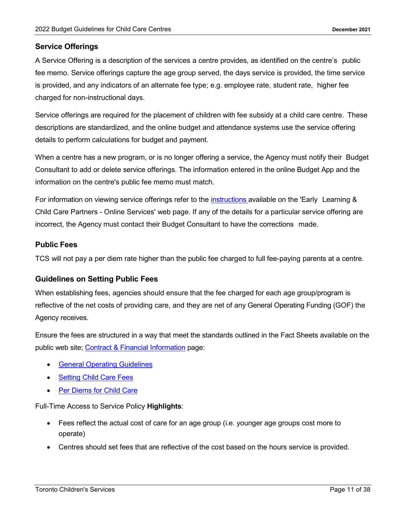#### <span id="page-10-0"></span>**Service Offerings**

A Service Offering is a description of the services a centre provides, as identified on the centre's public fee memo. Service offerings capture the age group served, the days service is provided, the time service is provided, and any indicators of an alternate fee type; e.g. employee rate, student rate, higher fee charged for non-instructional days.

Service offerings are required for the placement of children with fee subsidy at a child care centre. These descriptions are standardized, and the online budget and attendance systems use the service offering details to perform calculations for budget and payment.

When a centre has a new program, or is no longer offering a service, the Agency must notify their Budget Consultant to add or delete service offerings. The information entered in the online Budget App and the information on the centre's public fee memo must match.

For information on viewing service offerings refer to the *[instructions](https://www.toronto.ca/community-people/community-partners/early-learning-child-care-partners/online-services/)* available on the 'Early Learning & Child Care Partners - Online Services' web page. If any of the details for a particular service offering are incorrect, the Agency must contact their Budget Consultant to have the corrections made.

#### <span id="page-10-1"></span>**Public Fees**

TCS will not pay a per diem rate higher than the public fee charged to full fee-paying parents at a centre.

#### <span id="page-10-2"></span>**Guidelines on Setting Public Fees**

When establishing fees, agencies should ensure that the fee charged for each age group/program is reflective of the net costs of providing care, and they are net of any General Operating Funding (GOF) the Agency receives.

Ensure the fees are structured in a way that meet the standards outlined in the Fact Sheets available on the public web site; [Contract & Financial Information](https://www.toronto.ca/community-people/community-partners/early-learning-child-care-partners/financial-information/) page:

- **[General Operating Guidelines](https://www.toronto.ca/wp-content/uploads/2019/02/94fd-cs-gof-guidelines-fee-subsidy.pdf)**
- **[Setting Child Care Fees](https://www.toronto.ca/community-people/community-partners/early-learning-child-care-partners/financial-information/setting-child-care-fees/)**
- **[Per Diems for Child Care](https://www.toronto.ca/community-people/community-partners/early-learning-child-care-partners/financial-information/per-diems-for-child-care/)**

Full-Time Access to Service Policy **Highlights**:

- Fees reflect the actual cost of care for an age group (i.e. younger age groups cost more to operate)
- Centres should set fees that are reflective of the cost based on the hours service is provided.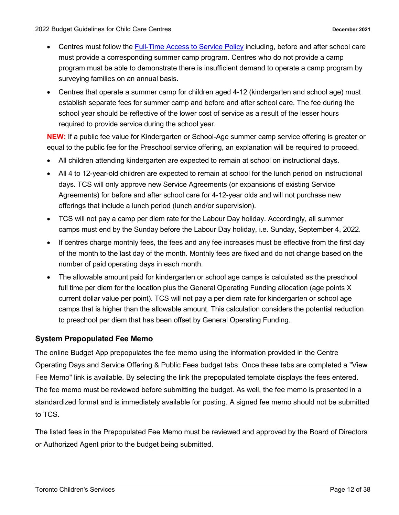- Centres must follow the [Full-Time Access to Service Policy](https://www.toronto.ca/community-people/community-partners/early-learning-child-care-partners/financial-information/full-time-access-to-service/) including, before and after school care must provide a corresponding summer camp program. Centres who do not provide a camp program must be able to demonstrate there is insufficient demand to operate a camp program by surveying families on an annual basis.
- Centres that operate a summer camp for children aged 4-12 (kindergarten and school age) must establish separate fees for summer camp and before and after school care. The fee during the school year should be reflective of the lower cost of service as a result of the lesser hours required to provide service during the school year.

**NEW:** If a public fee value for Kindergarten or School-Age summer camp service offering is greater or equal to the public fee for the Preschool service offering, an explanation will be required to proceed.

- All children attending kindergarten are expected to remain at school on instructional days.
- All 4 to 12-year-old children are expected to remain at school for the lunch period on instructional days. TCS will only approve new Service Agreements (or expansions of existing Service Agreements) for before and after school care for 4-12-year olds and will not purchase new offerings that include a lunch period (lunch and/or supervision).
- TCS will not pay a camp per diem rate for the Labour Day holiday. Accordingly, all summer camps must end by the Sunday before the Labour Day holiday, i.e. Sunday, September 4, 2022.
- If centres charge monthly fees, the fees and any fee increases must be effective from the first day of the month to the last day of the month. Monthly fees are fixed and do not change based on the number of paid operating days in each month.
- The allowable amount paid for kindergarten or school age camps is calculated as the preschool full time per diem for the location plus the General Operating Funding allocation (age points X current dollar value per point). TCS will not pay a per diem rate for kindergarten or school age camps that is higher than the allowable amount. This calculation considers the potential reduction to preschool per diem that has been offset by General Operating Funding.

#### <span id="page-11-0"></span>**System Prepopulated Fee Memo**

The online Budget App prepopulates the fee memo using the information provided in the Centre Operating Days and Service Offering & Public Fees budget tabs. Once these tabs are completed a "View Fee Memo" link is available. By selecting the link the prepopulated template displays the fees entered. The fee memo must be reviewed before submitting the budget. As well, the fee memo is presented in a standardized format and is immediately available for posting. A signed fee memo should not be submitted to TCS.

The listed fees in the Prepopulated Fee Memo must be reviewed and approved by the Board of Directors or Authorized Agent prior to the budget being submitted.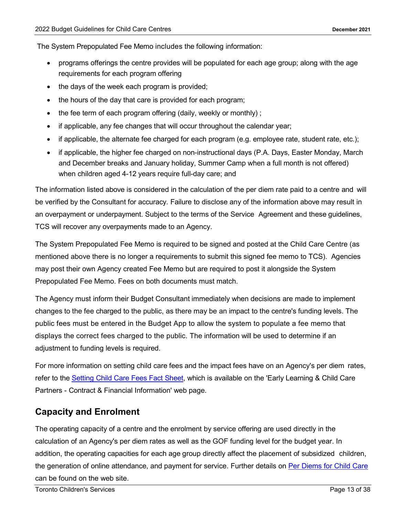The System Prepopulated Fee Memo includes the following information:

- programs offerings the centre provides will be populated for each age group; along with the age requirements for each program offering
- the days of the week each program is provided;
- the hours of the day that care is provided for each program;
- the fee term of each program offering (daily, weekly or monthly);
- if applicable, any fee changes that will occur throughout the calendar year;
- if applicable, the alternate fee charged for each program (e.g. employee rate, student rate, etc.);
- if applicable, the higher fee charged on non-instructional days (P.A. Days, Easter Monday, March and December breaks and January holiday, Summer Camp when a full month is not offered) when children aged 4-12 years require full-day care; and

The information listed above is considered in the calculation of the per diem rate paid to a centre and will be verified by the Consultant for accuracy. Failure to disclose any of the information above may result in an overpayment or underpayment. Subject to the terms of the Service Agreement and these guidelines, TCS will recover any overpayments made to an Agency.

The System Prepopulated Fee Memo is required to be signed and posted at the Child Care Centre (as mentioned above there is no longer a requirements to submit this signed fee memo to TCS). Agencies may post their own Agency created Fee Memo but are required to post it alongside the System Prepopulated Fee Memo. Fees on both documents must match.

The Agency must inform their Budget Consultant immediately when decisions are made to implement changes to the fee charged to the public, as there may be an impact to the centre's funding levels. The public fees must be entered in the Budget App to allow the system to populate a fee memo that displays the correct fees charged to the public. The information will be used to determine if an adjustment to funding levels is required.

For more information on setting child care fees and the impact fees have on an Agency's per diem rates, refer to the [Setting](https://www.toronto.ca/community-people/community-partners/early-learning-child-care-partners/financial-information/setting-child-care-fees/) Child Care Fees Fact Sheet, which is available on the 'Early Learning & Child Care Partners - Contract & Financial Information' web page.

## <span id="page-12-0"></span>**Capacity and Enrolment**

The operating capacity of a centre and the enrolment by service offering are used directly in the calculation of an Agency's per diem rates as well as the GOF funding level for the budget year. In addition, the operating capacities for each age group directly affect the placement of subsidized children, the generation of online attendance, and payment for service. Further details on [Per Diems for Child Care](https://www.toronto.ca/community-people/community-partners/early-learning-child-care-partners/financial-information/per-diems-for-child-care/) can be found on the web site.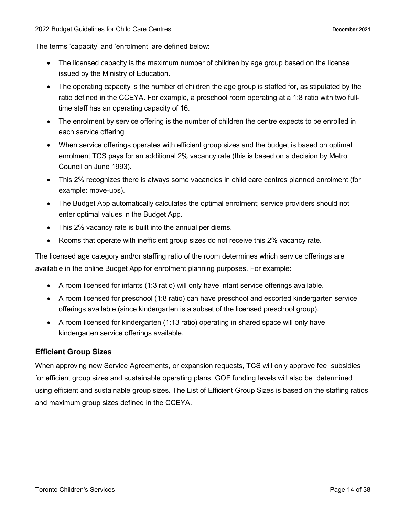The terms 'capacity' and 'enrolment' are defined below:

- The licensed capacity is the maximum number of children by age group based on the license issued by the Ministry of Education.
- The operating capacity is the number of children the age group is staffed for, as stipulated by the ratio defined in the CCEYA. For example, a preschool room operating at a 1:8 ratio with two fulltime staff has an operating capacity of 16.
- The enrolment by service offering is the number of children the centre expects to be enrolled in each service offering
- When service offerings operates with efficient group sizes and the budget is based on optimal enrolment TCS pays for an additional 2% vacancy rate (this is based on a decision by Metro Council on June 1993).
- This 2% recognizes there is always some vacancies in child care centres planned enrolment (for example: move-ups).
- The Budget App automatically calculates the optimal enrolment; service providers should not enter optimal values in the Budget App.
- This 2% vacancy rate is built into the annual per diems.
- Rooms that operate with inefficient group sizes do not receive this 2% vacancy rate.

The licensed age category and/or staffing ratio of the room determines which service offerings are available in the online Budget App for enrolment planning purposes. For example:

- A room licensed for infants (1:3 ratio) will only have infant service offerings available.
- A room licensed for preschool (1:8 ratio) can have preschool and escorted kindergarten service offerings available (since kindergarten is a subset of the licensed preschool group).
- A room licensed for kindergarten (1:13 ratio) operating in shared space will only have kindergarten service offerings available.

#### <span id="page-13-0"></span>**Efficient Group Sizes**

When approving new Service Agreements, or expansion requests, TCS will only approve fee subsidies for efficient group sizes and sustainable operating plans. GOF funding levels will also be determined using efficient and sustainable group sizes. The List of Efficient Group Sizes is based on the staffing ratios and maximum group sizes defined in the CCEYA.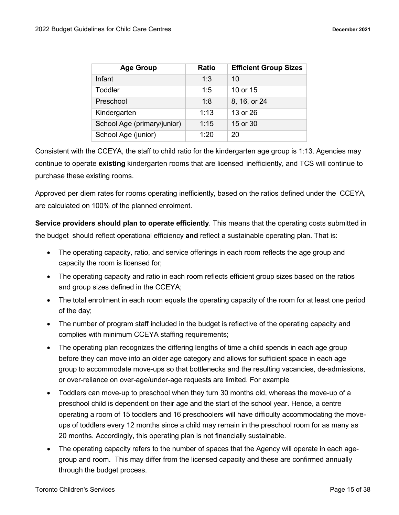| <b>Age Group</b>            | <b>Ratio</b> | <b>Efficient Group Sizes</b> |
|-----------------------------|--------------|------------------------------|
| Infant                      | 1:3          | 10                           |
| Toddler                     | 1:5          | 10 or 15                     |
| Preschool                   | 1:8          | 8, 16, or 24                 |
| Kindergarten                | 1:13         | 13 or 26                     |
| School Age (primary/junior) | 1:15         | 15 or 30                     |
| School Age (junior)         | 1:20         | 20                           |

Consistent with the CCEYA, the staff to child ratio for the kindergarten age group is 1:13. Agencies may continue to operate **existing** kindergarten rooms that are licensed inefficiently, and TCS will continue to purchase these existing rooms.

Approved per diem rates for rooms operating inefficiently, based on the ratios defined under the CCEYA, are calculated on 100% of the planned enrolment.

**Service providers should plan to operate efficiently**. This means that the operating costs submitted in the budget should reflect operational efficiency **and** reflect a sustainable operating plan. That is:

- The operating capacity, ratio, and service offerings in each room reflects the age group and capacity the room is licensed for;
- The operating capacity and ratio in each room reflects efficient group sizes based on the ratios and group sizes defined in the CCEYA;
- The total enrolment in each room equals the operating capacity of the room for at least one period of the day;
- The number of program staff included in the budget is reflective of the operating capacity and complies with minimum CCEYA staffing requirements;
- The operating plan recognizes the differing lengths of time a child spends in each age group before they can move into an older age category and allows for sufficient space in each age group to accommodate move-ups so that bottlenecks and the resulting vacancies, de-admissions, or over-reliance on over-age/under-age requests are limited. For example
- Toddlers can move-up to preschool when they turn 30 months old, whereas the move-up of a preschool child is dependent on their age and the start of the school year. Hence, a centre operating a room of 15 toddlers and 16 preschoolers will have difficulty accommodating the moveups of toddlers every 12 months since a child may remain in the preschool room for as many as 20 months. Accordingly, this operating plan is not financially sustainable.
- The operating capacity refers to the number of spaces that the Agency will operate in each agegroup and room. This may differ from the licensed capacity and these are confirmed annually through the budget process.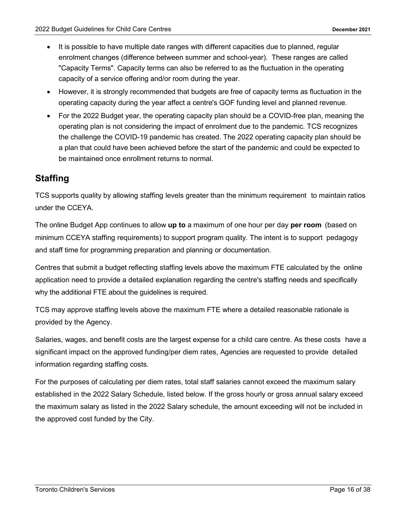- It is possible to have multiple date ranges with different capacities due to planned, regular enrolment changes (difference between summer and school-year). These ranges are called "Capacity Terms". Capacity terms can also be referred to as the fluctuation in the operating capacity of a service offering and/or room during the year.
- However, it is strongly recommended that budgets are free of capacity terms as fluctuation in the operating capacity during the year affect a centre's GOF funding level and planned revenue.
- For the 2022 Budget year, the operating capacity plan should be a COVID-free plan, meaning the operating plan is not considering the impact of enrolment due to the pandemic. TCS recognizes the challenge the COVID-19 pandemic has created. The 2022 operating capacity plan should be a plan that could have been achieved before the start of the pandemic and could be expected to be maintained once enrollment returns to normal.

## <span id="page-15-0"></span>**Staffing**

TCS supports quality by allowing staffing levels greater than the minimum requirement to maintain ratios under the CCEYA.

The online Budget App continues to allow **up to** a maximum of one hour per day **per room** (based on minimum CCEYA staffing requirements) to support program quality. The intent is to support pedagogy and staff time for programming preparation and planning or documentation.

Centres that submit a budget reflecting staffing levels above the maximum FTE calculated by the online application need to provide a detailed explanation regarding the centre's staffing needs and specifically why the additional FTE about the guidelines is required.

TCS may approve staffing levels above the maximum FTE where a detailed reasonable rationale is provided by the Agency.

Salaries, wages, and benefit costs are the largest expense for a child care centre. As these costs have a significant impact on the approved funding/per diem rates, Agencies are requested to provide detailed information regarding staffing costs.

For the purposes of calculating per diem rates, total staff salaries cannot exceed the maximum salary established in the 2022 Salary Schedule, listed below. If the gross hourly or gross annual salary exceed the maximum salary as listed in the 2022 Salary schedule, the amount exceeding will not be included in the approved cost funded by the City.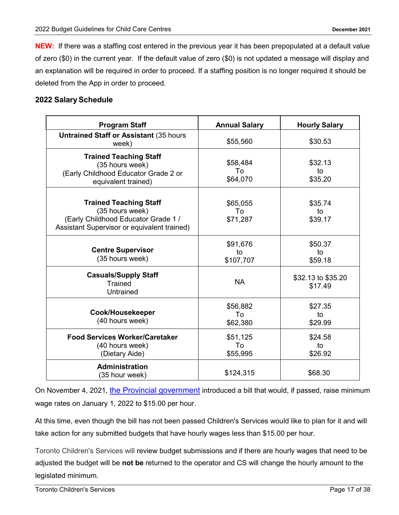**NEW:** If there was a staffing cost entered in the previous year it has been prepopulated at a default value of zero (\$0) in the current year. If the default value of zero (\$0) is not updated a message will display and an explanation will be required in order to proceed. If a staffing position is no longer required it should be deleted from the App in order to proceed.

#### **2022 Salary Schedule**

| <b>Program Staff</b>                                                                                                                   | <b>Annual Salary</b>        | <b>Hourly Salary</b>          |
|----------------------------------------------------------------------------------------------------------------------------------------|-----------------------------|-------------------------------|
| <b>Untrained Staff or Assistant (35 hours)</b><br>week)                                                                                | \$55,560                    | \$30.53                       |
| <b>Trained Teaching Staff</b><br>(35 hours week)<br>(Early Childhood Educator Grade 2 or<br>equivalent trained)                        | \$58,484<br>To<br>\$64,070  | \$32.13<br>to<br>\$35.20      |
| <b>Trained Teaching Staff</b><br>(35 hours week)<br>(Early Childhood Educator Grade 1 /<br>Assistant Supervisor or equivalent trained) | \$65,055<br>To<br>\$71,287  | \$35.74<br>to<br>\$39.17      |
| <b>Centre Supervisor</b><br>(35 hours week)                                                                                            | \$91,676<br>to<br>\$107,707 | \$50.37<br>to<br>\$59.18      |
| <b>Casuals/Supply Staff</b><br><b>Trained</b><br>Untrained                                                                             | <b>NA</b>                   | \$32.13 to \$35.20<br>\$17.49 |
| Cook/Housekeeper<br>(40 hours week)                                                                                                    | \$56,882<br>To<br>\$62,380  | \$27.35<br>to<br>\$29.99      |
| <b>Food Services Worker/Caretaker</b><br>(40 hours week)<br>(Dietary Aide)                                                             | \$51,125<br>To<br>\$55,995  | \$24.58<br>to<br>\$26.92      |
| <b>Administration</b><br>(35 hour week)                                                                                                | \$124,315                   | \$68.30                       |

On November 4, 2021, [the Provincial government](https://www.ontario.ca/document/your-guide-employment-standards-act-0/minimum-wage) introduced a bill that would, if passed, raise minimum wage rates on January 1, 2022 to \$15.00 per hour.

At this time, even though the bill has not been passed Children's Services would like to plan for it and will take action for any submitted budgets that have hourly wages less than \$15.00 per hour.

Toronto Children's Services will review budget submissions and if there are hourly wages that need to be adjusted the budget will be **not be** returned to the operator and CS will change the hourly amount to the legislated minimum.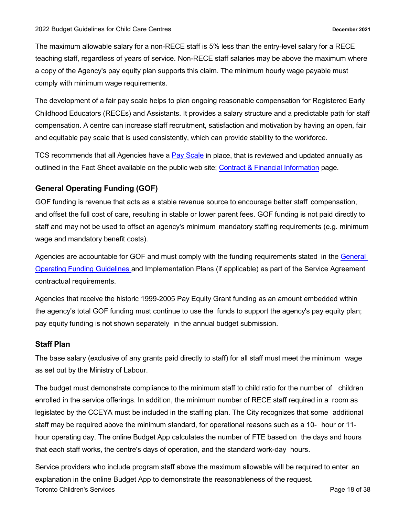The maximum allowable salary for a non-RECE staff is 5% less than the entry-level salary for a RECE teaching staff, regardless of years of service. Non-RECE staff salaries may be above the maximum where a copy of the Agency's pay equity plan supports this claim. The minimum hourly wage payable must comply with minimum wage requirements.

The development of a fair pay scale helps to plan ongoing reasonable compensation for Registered Early Childhood Educators (RECEs) and Assistants. It provides a salary structure and a predictable path for staff compensation. A centre can increase staff recruitment, satisfaction and motivation by having an open, fair and equitable pay scale that is used consistently, which can provide stability to the workforce.

TCS recommends that all Agencies have a [Pay Scale](https://www.toronto.ca/community-people/community-partners/early-learning-child-care-partners/financial-information/pay-scales-for-child-care-centres/) in place, that is reviewed and updated annually as outlined in the Fact Sheet available on the public web site; [Contract & Financial Information](https://www.toronto.ca/community-people/community-partners/early-learning-child-care-partners/financial-information/) page.

#### <span id="page-17-0"></span>**General Operating Funding (GOF)**

GOF funding is revenue that acts as a stable revenue source to encourage better staff compensation, and offset the full cost of care, resulting in stable or lower parent fees. GOF funding is not paid directly to staff and may not be used to offset an agency's minimum mandatory staffing requirements (e.g. minimum wage and mandatory benefit costs).

Agencies are accountable for GOF and must comply with the funding requirements stated in the General Operating Funding Guidelines and Implementation Plans (if applicable) as part of the Service Agreement contractual requirements.

Agencies that receive the historic 1999-2005 Pay Equity Grant funding as an amount embedded within the agency's total GOF funding must continue to use the funds to support the agency's pay equity plan; pay equity funding is not shown separately in the annual budget submission.

#### <span id="page-17-1"></span>**Staff Plan**

The base salary (exclusive of any grants paid directly to staff) for all staff must meet the minimum wage as set out by the Ministry of Labour.

The budget must demonstrate compliance to the minimum staff to child ratio for the number of children enrolled in the service offerings. In addition, the minimum number of RECE staff required in a room as legislated by the CCEYA must be included in the staffing plan. The City recognizes that some additional staff may be required above the minimum standard, for operational reasons such as a 10- hour or 11 hour operating day. The online Budget App calculates the number of FTE based on the days and hours that each staff works, the centre's days of operation, and the standard work-day hours.

Service providers who include program staff above the maximum allowable will be required to enter an explanation in the online Budget App to demonstrate the reasonableness of the request.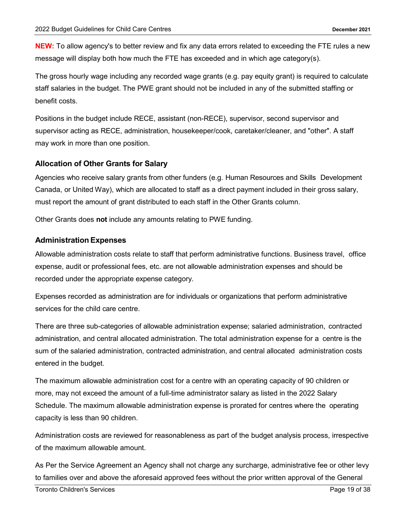**NEW:** To allow agency's to better review and fix any data errors related to exceeding the FTE rules a new message will display both how much the FTE has exceeded and in which age category(s).

The gross hourly wage including any recorded wage grants (e.g. pay equity grant) is required to calculate staff salaries in the budget. The PWE grant should not be included in any of the submitted staffing or benefit costs.

Positions in the budget include RECE, assistant (non-RECE), supervisor, second supervisor and supervisor acting as RECE, administration, housekeeper/cook, caretaker/cleaner, and "other". A staff may work in more than one position.

#### <span id="page-18-0"></span>**Allocation of Other Grants for Salary**

Agencies who receive salary grants from other funders (e.g. Human Resources and Skills Development Canada, or United Way), which are allocated to staff as a direct payment included in their gross salary, must report the amount of grant distributed to each staff in the Other Grants column.

Other Grants does **not** include any amounts relating to PWE funding.

#### <span id="page-18-1"></span>**Administration Expenses**

Allowable administration costs relate to staff that perform administrative functions. Business travel, office expense, audit or professional fees, etc. are not allowable administration expenses and should be recorded under the appropriate expense category.

Expenses recorded as administration are for individuals or organizations that perform administrative services for the child care centre.

There are three sub-categories of allowable administration expense; salaried administration, contracted administration, and central allocated administration. The total administration expense for a centre is the sum of the salaried administration, contracted administration, and central allocated administration costs entered in the budget.

The maximum allowable administration cost for a centre with an operating capacity of 90 children or more, may not exceed the amount of a full-time administrator salary as listed in the 2022 Salary Schedule. The maximum allowable administration expense is prorated for centres where the operating capacity is less than 90 children.

Administration costs are reviewed for reasonableness as part of the budget analysis process, irrespective of the maximum allowable amount.

As Per the Service Agreement an Agency shall not charge any surcharge, administrative fee or other levy to families over and above the aforesaid approved fees without the prior written approval of the General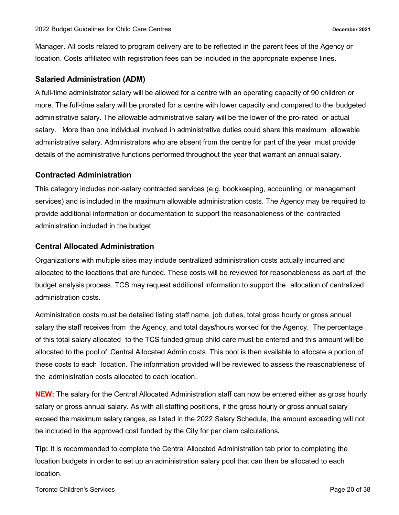Manager. All costs related to program delivery are to be reflected in the parent fees of the Agency or location. Costs affiliated with registration fees can be included in the appropriate expense lines.

#### <span id="page-19-0"></span>**Salaried Administration (ADM)**

A full-time administrator salary will be allowed for a centre with an operating capacity of 90 children or more. The full-time salary will be prorated for a centre with lower capacity and compared to the budgeted administrative salary. The allowable administrative salary will be the lower of the pro-rated or actual salary. More than one individual involved in administrative duties could share this maximum allowable administrative salary. Administrators who are absent from the centre for part of the year must provide details of the administrative functions performed throughout the year that warrant an annual salary.

#### <span id="page-19-1"></span>**Contracted Administration**

This category includes non-salary contracted services (e.g. bookkeeping, accounting, or management services) and is included in the maximum allowable administration costs. The Agency may be required to provide additional information or documentation to support the reasonableness of the contracted administration included in the budget.

#### <span id="page-19-2"></span>**Central Allocated Administration**

Organizations with multiple sites may include centralized administration costs actually incurred and allocated to the locations that are funded. These costs will be reviewed for reasonableness as part of the budget analysis process. TCS may request additional information to support the allocation of centralized administration costs.

Administration costs must be detailed listing staff name, job duties, total gross hourly or gross annual salary the staff receives from the Agency, and total days/hours worked for the Agency. The percentage of this total salary allocated to the TCS funded group child care must be entered and this amount will be allocated to the pool of Central Allocated Admin costs. This pool is then available to allocate a portion of these costs to each location. The information provided will be reviewed to assess the reasonableness of the administration costs allocated to each location.

**NEW:** The salary for the Central Allocated Administration staff can now be entered either as gross hourly salary or gross annual salary. As with all staffing positions, if the gross hourly or gross annual salary exceed the maximum salary ranges, as listed in the 2022 Salary Schedule, the amount exceeding will not be included in the approved cost funded by the City for per diem calculations**.** 

**Tip:** It is recommended to complete the Central Allocated Administration tab prior to completing the location budgets in order to set up an administration salary pool that can then be allocated to each location.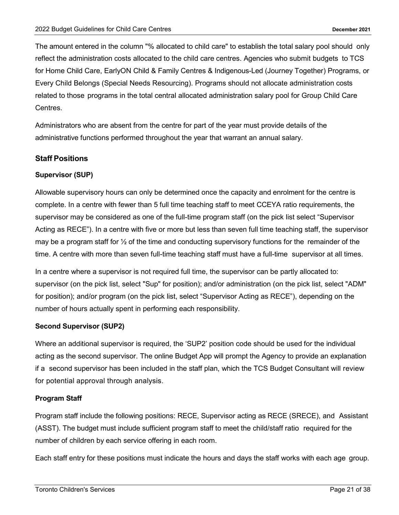The amount entered in the column "% allocated to child care" to establish the total salary pool should only reflect the administration costs allocated to the child care centres. Agencies who submit budgets to TCS for Home Child Care, EarlyON Child & Family Centres & Indigenous-Led (Journey Together) Programs, or Every Child Belongs (Special Needs Resourcing). Programs should not allocate administration costs related to those programs in the total central allocated administration salary pool for Group Child Care Centres.

Administrators who are absent from the centre for part of the year must provide details of the administrative functions performed throughout the year that warrant an annual salary.

#### <span id="page-20-0"></span>**Staff Positions**

#### **Supervisor (SUP)**

Allowable supervisory hours can only be determined once the capacity and enrolment for the centre is complete. In a centre with fewer than 5 full time teaching staff to meet CCEYA ratio requirements, the supervisor may be considered as one of the full-time program staff (on the pick list select "Supervisor Acting as RECE"). In a centre with five or more but less than seven full time teaching staff, the supervisor may be a program staff for ½ of the time and conducting supervisory functions for the remainder of the time. A centre with more than seven full-time teaching staff must have a full-time supervisor at all times.

In a centre where a supervisor is not required full time, the supervisor can be partly allocated to: supervisor (on the pick list, select "Sup" for position); and/or administration (on the pick list, select "ADM" for position); and/or program (on the pick list, select "Supervisor Acting as RECE"), depending on the number of hours actually spent in performing each responsibility.

#### **Second Supervisor (SUP2)**

Where an additional supervisor is required, the 'SUP2' position code should be used for the individual acting as the second supervisor. The online Budget App will prompt the Agency to provide an explanation if a second supervisor has been included in the staff plan, which the TCS Budget Consultant will review for potential approval through analysis.

#### **Program Staff**

Program staff include the following positions: RECE, Supervisor acting as RECE (SRECE), and Assistant (ASST). The budget must include sufficient program staff to meet the child/staff ratio required for the number of children by each service offering in each room.

Each staff entry for these positions must indicate the hours and days the staff works with each age group.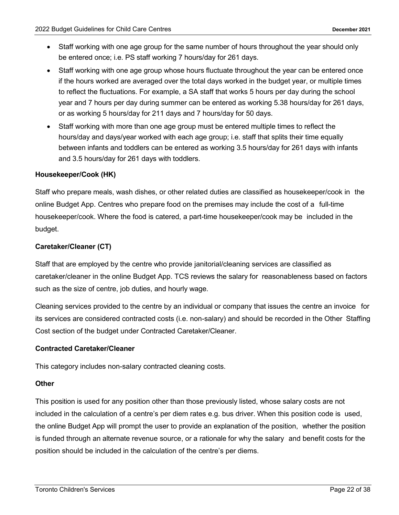- Staff working with one age group for the same number of hours throughout the year should only be entered once; i.e. PS staff working 7 hours/day for 261 days.
- Staff working with one age group whose hours fluctuate throughout the year can be entered once if the hours worked are averaged over the total days worked in the budget year, or multiple times to reflect the fluctuations. For example, a SA staff that works 5 hours per day during the school year and 7 hours per day during summer can be entered as working 5.38 hours/day for 261 days, or as working 5 hours/day for 211 days and 7 hours/day for 50 days.
- Staff working with more than one age group must be entered multiple times to reflect the hours/day and days/year worked with each age group; i.e. staff that splits their time equally between infants and toddlers can be entered as working 3.5 hours/day for 261 days with infants and 3.5 hours/day for 261 days with toddlers.

#### **Housekeeper/Cook (HK)**

Staff who prepare meals, wash dishes, or other related duties are classified as housekeeper/cook in the online Budget App. Centres who prepare food on the premises may include the cost of a full-time housekeeper/cook. Where the food is catered, a part-time housekeeper/cook may be included in the budget.

#### **Caretaker/Cleaner (CT)**

Staff that are employed by the centre who provide janitorial/cleaning services are classified as caretaker/cleaner in the online Budget App. TCS reviews the salary for reasonableness based on factors such as the size of centre, job duties, and hourly wage.

Cleaning services provided to the centre by an individual or company that issues the centre an invoice for its services are considered contracted costs (i.e. non-salary) and should be recorded in the Other Staffing Cost section of the budget under Contracted Caretaker/Cleaner.

#### **Contracted Caretaker/Cleaner**

This category includes non-salary contracted cleaning costs.

#### **Other**

This position is used for any position other than those previously listed, whose salary costs are not included in the calculation of a centre's per diem rates e.g. bus driver. When this position code is used, the online Budget App will prompt the user to provide an explanation of the position, whether the position is funded through an alternate revenue source, or a rationale for why the salary and benefit costs for the position should be included in the calculation of the centre's per diems.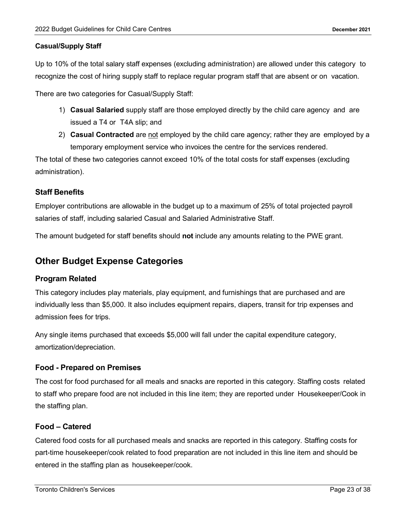#### **Casual/Supply Staff**

Up to 10% of the total salary staff expenses (excluding administration) are allowed under this category to recognize the cost of hiring supply staff to replace regular program staff that are absent or on vacation.

There are two categories for Casual/Supply Staff:

- 1) **Casual Salaried** supply staff are those employed directly by the child care agency and are issued a T4 or T4A slip; and
- 2) **Casual Contracted** are not employed by the child care agency; rather they are employed by a temporary employment service who invoices the centre for the services rendered.

The total of these two categories cannot exceed 10% of the total costs for staff expenses (excluding administration).

#### <span id="page-22-0"></span>**Staff Benefits**

Employer contributions are allowable in the budget up to a maximum of 25% of total projected payroll salaries of staff, including salaried Casual and Salaried Administrative Staff.

The amount budgeted for staff benefits should **not** include any amounts relating to the PWE grant.

### <span id="page-22-1"></span>**Other Budget Expense Categories**

#### <span id="page-22-2"></span>**Program Related**

This category includes play materials, play equipment, and furnishings that are purchased and are individually less than \$5,000. It also includes equipment repairs, diapers, transit for trip expenses and admission fees for trips.

Any single items purchased that exceeds \$5,000 will fall under the capital expenditure category, amortization/depreciation.

#### <span id="page-22-3"></span>**Food - Prepared on Premises**

The cost for food purchased for all meals and snacks are reported in this category. Staffing costs related to staff who prepare food are not included in this line item; they are reported under Housekeeper/Cook in the staffing plan.

#### <span id="page-22-4"></span>**Food – Catered**

Catered food costs for all purchased meals and snacks are reported in this category. Staffing costs for part-time housekeeper/cook related to food preparation are not included in this line item and should be entered in the staffing plan as housekeeper/cook.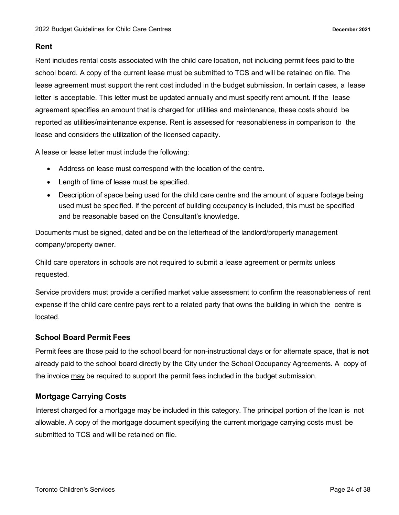#### <span id="page-23-0"></span>**Rent**

Rent includes rental costs associated with the child care location, not including permit fees paid to the school board. A copy of the current lease must be submitted to TCS and will be retained on file. The lease agreement must support the rent cost included in the budget submission. In certain cases, a lease letter is acceptable. This letter must be updated annually and must specify rent amount. If the lease agreement specifies an amount that is charged for utilities and maintenance, these costs should be reported as utilities/maintenance expense. Rent is assessed for reasonableness in comparison to the lease and considers the utilization of the licensed capacity.

A lease or lease letter must include the following:

- Address on lease must correspond with the location of the centre.
- Length of time of lease must be specified.
- Description of space being used for the child care centre and the amount of square footage being used must be specified. If the percent of building occupancy is included, this must be specified and be reasonable based on the Consultant's knowledge.

Documents must be signed, dated and be on the letterhead of the landlord/property management company/property owner.

Child care operators in schools are not required to submit a lease agreement or permits unless requested.

Service providers must provide a certified market value assessment to confirm the reasonableness of rent expense if the child care centre pays rent to a related party that owns the building in which the centre is located.

#### <span id="page-23-1"></span>**School Board Permit Fees**

Permit fees are those paid to the school board for non-instructional days or for alternate space, that is **not** already paid to the school board directly by the City under the School Occupancy Agreements. A copy of the invoice may be required to support the permit fees included in the budget submission.

#### <span id="page-23-2"></span>**Mortgage Carrying Costs**

Interest charged for a mortgage may be included in this category. The principal portion of the loan is not allowable. A copy of the mortgage document specifying the current mortgage carrying costs must be submitted to TCS and will be retained on file.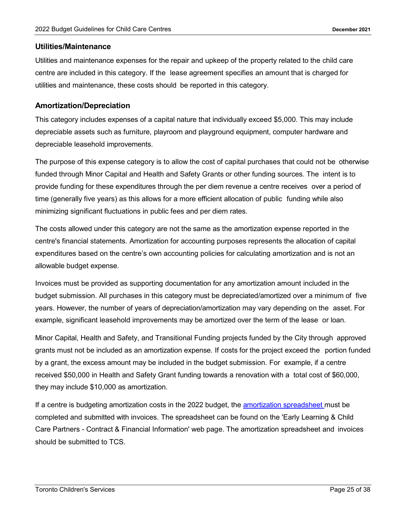#### <span id="page-24-0"></span>**Utilities/Maintenance**

Utilities and maintenance expenses for the repair and upkeep of the property related to the child care centre are included in this category. If the lease agreement specifies an amount that is charged for utilities and maintenance, these costs should be reported in this category.

#### <span id="page-24-1"></span>**Amortization/Depreciation**

This category includes expenses of a capital nature that individually exceed \$5,000. This may include depreciable assets such as furniture, playroom and playground equipment, computer hardware and depreciable leasehold improvements.

The purpose of this expense category is to allow the cost of capital purchases that could not be otherwise funded through Minor Capital and Health and Safety Grants or other funding sources. The intent is to provide funding for these expenditures through the per diem revenue a centre receives over a period of time (generally five years) as this allows for a more efficient allocation of public funding while also minimizing significant fluctuations in public fees and per diem rates.

The costs allowed under this category are not the same as the amortization expense reported in the centre's financial statements. Amortization for accounting purposes represents the allocation of capital expenditures based on the centre's own accounting policies for calculating amortization and is not an allowable budget expense.

Invoices must be provided as supporting documentation for any amortization amount included in the budget submission. All purchases in this category must be depreciated/amortized over a minimum of five years. However, the number of years of depreciation/amortization may vary depending on the asset. For example, significant leasehold improvements may be amortized over the term of the lease or loan.

Minor Capital, Health and Safety, and Transitional Funding projects funded by the City through approved grants must not be included as an amortization expense. If costs for the project exceed the portion funded by a grant, the excess amount may be included in the budget submission. For example, if a centre received \$50,000 in Health and Safety Grant funding towards a renovation with a total cost of \$60,000, they may include \$10,000 as amortization.

If a centre is budgeting amortization costs in the 2022 budget, the [amortization](http://wx.toronto.ca/inter/clerks/fit.nsf/ag_getAttachment?Open&documentid=8bb93b95501fc5d4852583050064f8b7&action=opendocument&attnum=1#xd_co_f=ZjA0MmQ4MjYtNDc2Yi00NWUxLWFlZWItODMxNzA2NDhmYzA2%7E) spreadsheet must be completed and submitted with invoices. The spreadsheet can be found on the 'Early Learning & Child Care Partners - Contract & Financial Information' web page. The amortization spreadsheet and invoices should be submitted to TCS.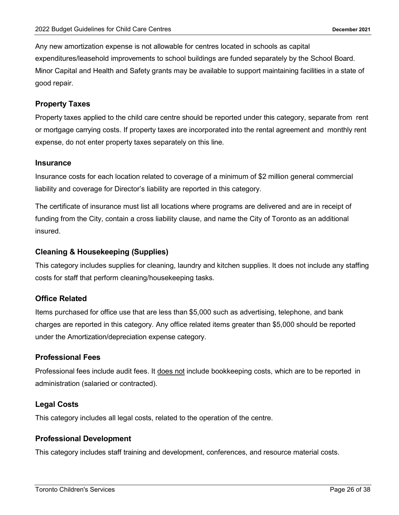Any new amortization expense is not allowable for centres located in schools as capital expenditures/leasehold improvements to school buildings are funded separately by the School Board. Minor Capital and Health and Safety grants may be available to support maintaining facilities in a state of good repair.

#### <span id="page-25-0"></span>**Property Taxes**

Property taxes applied to the child care centre should be reported under this category, separate from rent or mortgage carrying costs. If property taxes are incorporated into the rental agreement and monthly rent expense, do not enter property taxes separately on this line.

#### <span id="page-25-1"></span>**Insurance**

Insurance costs for each location related to coverage of a minimum of \$2 million general commercial liability and coverage for Director's liability are reported in this category.

The certificate of insurance must list all locations where programs are delivered and are in receipt of funding from the City, contain a cross liability clause, and name the City of Toronto as an additional insured.

#### <span id="page-25-2"></span>**Cleaning & Housekeeping (Supplies)**

This category includes supplies for cleaning, laundry and kitchen supplies. It does not include any staffing costs for staff that perform cleaning/housekeeping tasks.

#### <span id="page-25-3"></span>**Office Related**

Items purchased for office use that are less than \$5,000 such as advertising, telephone, and bank charges are reported in this category. Any office related items greater than \$5,000 should be reported under the Amortization/depreciation expense category.

#### <span id="page-25-4"></span>**Professional Fees**

Professional fees include audit fees. It does not include bookkeeping costs, which are to be reported in administration (salaried or contracted).

#### <span id="page-25-5"></span>**Legal Costs**

This category includes all legal costs, related to the operation of the centre.

#### <span id="page-25-6"></span>**Professional Development**

This category includes staff training and development, conferences, and resource material costs.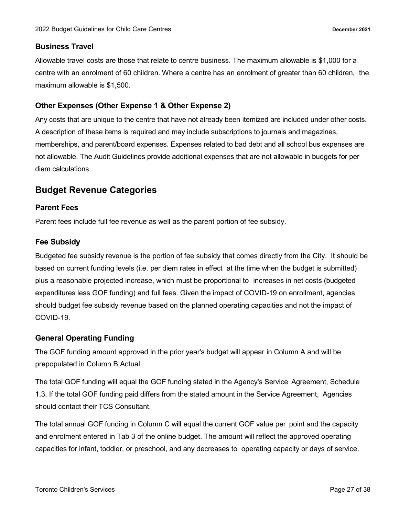#### <span id="page-26-0"></span>**Business Travel**

Allowable travel costs are those that relate to centre business. The maximum allowable is \$1,000 for a centre with an enrolment of 60 children. Where a centre has an enrolment of greater than 60 children, the maximum allowable is \$1,500.

#### <span id="page-26-1"></span>**Other Expenses (Other Expense 1 & Other Expense 2)**

Any costs that are unique to the centre that have not already been itemized are included under other costs. A description of these items is required and may include subscriptions to journals and magazines, memberships, and parent/board expenses. Expenses related to bad debt and all school bus expenses are not allowable. The Audit Guidelines provide additional expenses that are not allowable in budgets for per diem calculations.

## <span id="page-26-2"></span>**Budget Revenue Categories**

#### <span id="page-26-3"></span>**Parent Fees**

Parent fees include full fee revenue as well as the parent portion of fee subsidy.

#### <span id="page-26-4"></span>**Fee Subsidy**

Budgeted fee subsidy revenue is the portion of fee subsidy that comes directly from the City. It should be based on current funding levels (i.e. per diem rates in effect at the time when the budget is submitted) plus a reasonable projected increase, which must be proportional to increases in net costs (budgeted expenditures less GOF funding) and full fees. Given the impact of COVID-19 on enrollment, agencies should budget fee subsidy revenue based on the planned operating capacities and not the impact of COVID-19.

#### <span id="page-26-5"></span>**General Operating Funding**

The GOF funding amount approved in the prior year's budget will appear in Column A and will be prepopulated in Column B Actual.

The total GOF funding will equal the GOF funding stated in the Agency's Service Agreement, Schedule 1.3. If the total GOF funding paid differs from the stated amount in the Service Agreement, Agencies should contact their TCS Consultant.

The total annual GOF funding in Column C will equal the current GOF value per point and the capacity and enrolment entered in Tab 3 of the online budget. The amount will reflect the approved operating capacities for infant, toddler, or preschool, and any decreases to operating capacity or days of service.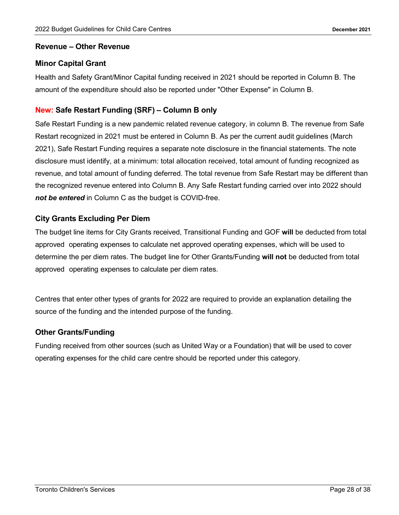#### <span id="page-27-0"></span>**Revenue – Other Revenue**

#### <span id="page-27-1"></span>**Minor Capital Grant**

Health and Safety Grant/Minor Capital funding received in 2021 should be reported in Column B. The amount of the expenditure should also be reported under "Other Expense" in Column B.

#### <span id="page-27-2"></span>**New: Safe Restart Funding (SRF) – Column B only**

Safe Restart Funding is a new pandemic related revenue category, in column B. The revenue from Safe Restart recognized in 2021 must be entered in Column B. As per the current audit guidelines (March 2021), Safe Restart Funding requires a separate note disclosure in the financial statements. The note disclosure must identify, at a minimum: total allocation received, total amount of funding recognized as revenue, and total amount of funding deferred. The total revenue from Safe Restart may be different than the recognized revenue entered into Column B. Any Safe Restart funding carried over into 2022 should *not be entered* in Column C as the budget is COVID-free.

#### <span id="page-27-3"></span>**City Grants Excluding Per Diem**

The budget line items for City Grants received, Transitional Funding and GOF **will** be deducted from total approved operating expenses to calculate net approved operating expenses, which will be used to determine the per diem rates. The budget line for Other Grants/Funding **will not** be deducted from total approved operating expenses to calculate per diem rates.

Centres that enter other types of grants for 2022 are required to provide an explanation detailing the source of the funding and the intended purpose of the funding.

#### <span id="page-27-4"></span>**Other Grants/Funding**

Funding received from other sources (such as United Way or a Foundation) that will be used to cover operating expenses for the child care centre should be reported under this category.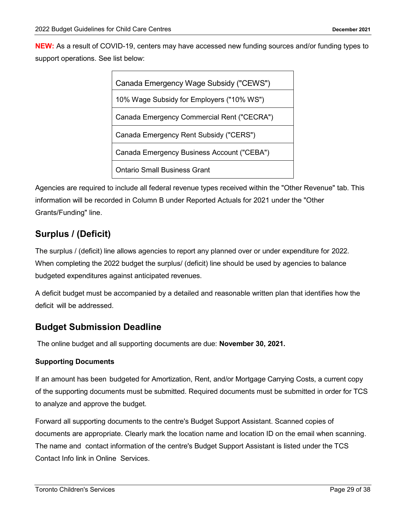**NEW:** As a result of COVID-19, centers may have accessed new funding sources and/or funding types to support operations. See list below:

<span id="page-28-0"></span>

| Canada Emergency Wage Subsidy ("CEWS")     |
|--------------------------------------------|
| 10% Wage Subsidy for Employers ("10% WS")  |
| Canada Emergency Commercial Rent ("CECRA") |
| Canada Emergency Rent Subsidy ("CERS")     |
| Canada Emergency Business Account ("CEBA") |
| Ontario Small Business Grant               |

Agencies are required to include all federal revenue types received within the "Other Revenue" tab. This information will be recorded in Column B under Reported Actuals for 2021 under the "Other Grants/Funding" line.

# <span id="page-28-1"></span>**Surplus / (Deficit)**

The surplus / (deficit) line allows agencies to report any planned over or under expenditure for 2022. When completing the 2022 budget the surplus/ (deficit) line should be used by agencies to balance budgeted expenditures against anticipated revenues.

A deficit budget must be accompanied by a detailed and reasonable written plan that identifies how the deficit will be addressed.

## <span id="page-28-2"></span>**Budget Submission Deadline**

The online budget and all supporting documents are due: **November 30, 2021.**

#### **Supporting Documents**

If an amount has been budgeted for Amortization, Rent, and/or Mortgage Carrying Costs, a current copy of the supporting documents must be submitted. Required documents must be submitted in order for TCS to analyze and approve the budget.

Forward all supporting documents to the centre's Budget Support Assistant. Scanned copies of documents are appropriate. Clearly mark the location name and location ID on the email when scanning. The name and contact information of the centre's Budget Support Assistant is listed under the TCS Contact Info link in Online Services.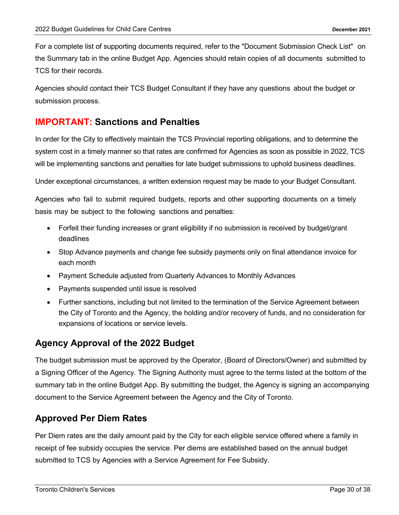For a complete list of supporting documents required, refer to the "Document Submission Check List" on the Summary tab in the online Budget App. Agencies should retain copies of all documents submitted to TCS for their records.

Agencies should contact their TCS Budget Consultant if they have any questions about the budget or submission process.

## <span id="page-29-0"></span>**IMPORTANT: Sanctions and Penalties**

In order for the City to effectively maintain the TCS Provincial reporting obligations, and to determine the system cost in a timely manner so that rates are confirmed for Agencies as soon as possible in 2022, TCS will be implementing sanctions and penalties for late budget submissions to uphold business deadlines.

Under exceptional circumstances, a written extension request may be made to your Budget Consultant.

Agencies who fail to submit required budgets, reports and other supporting documents on a timely basis may be subject to the following sanctions and penalties:

- Forfeit their funding increases or grant eligibility if no submission is received by budget/grant deadlines
- Stop Advance payments and change fee subsidy payments only on final attendance invoice for each month
- Payment Schedule adjusted from Quarterly Advances to Monthly Advances
- Payments suspended until issue is resolved
- Further sanctions, including but not limited to the termination of the Service Agreement between the City of Toronto and the Agency, the holding and/or recovery of funds, and no consideration for expansions of locations or service levels.

## <span id="page-29-1"></span>**Agency Approval of the 2022 Budget**

The budget submission must be approved by the Operator, (Board of Directors/Owner) and submitted by a Signing Officer of the Agency. The Signing Authority must agree to the terms listed at the bottom of the summary tab in the online Budget App. By submitting the budget, the Agency is signing an accompanying document to the Service Agreement between the Agency and the City of Toronto.

## <span id="page-29-2"></span>**Approved Per Diem Rates**

Per Diem rates are the daily amount paid by the City for each eligible service offered where a family in receipt of fee subsidy occupies the service. Per diems are established based on the annual budget submitted to TCS by Agencies with a Service Agreement for Fee Subsidy.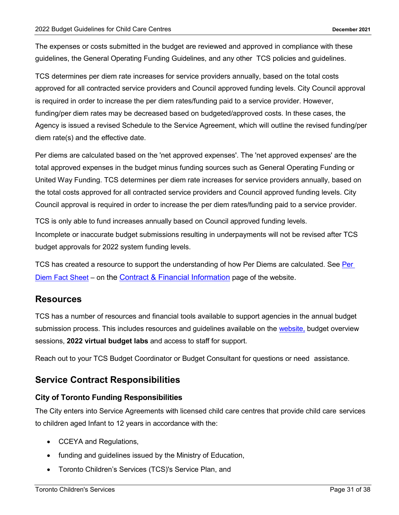The expenses or costs submitted in the budget are reviewed and approved in compliance with these guidelines, the General Operating Funding Guidelines, and any other TCS policies and guidelines.

TCS determines per diem rate increases for service providers annually, based on the total costs approved for all contracted service providers and Council approved funding levels. City Council approval is required in order to increase the per diem rates/funding paid to a service provider. However, funding/per diem rates may be decreased based on budgeted/approved costs. In these cases, the Agency is issued a revised Schedule to the Service Agreement, which will outline the revised funding/per diem rate(s) and the effective date.

Per diems are calculated based on the 'net approved expenses'. The 'net approved expenses' are the total approved expenses in the budget minus funding sources such as General Operating Funding or United Way Funding. TCS determines per diem rate increases for service providers annually, based on the total costs approved for all contracted service providers and Council approved funding levels. City Council approval is required in order to increase the per diem rates/funding paid to a service provider.

TCS is only able to fund increases annually based on Council approved funding levels.

Incomplete or inaccurate budget submissions resulting in underpayments will not be revised after TCS budget approvals for 2022 system funding levels.

TCS has created a resource to support the understanding of how [Per](https://www.toronto.ca/community-people/community-partners/early-learning-child-care-partners/financial-information/per-diems-for-child-care/) Diems are calculated. See Per [Diem Fact Sheet](https://www.toronto.ca/community-people/community-partners/early-learning-child-care-partners/financial-information/per-diems-for-child-care/) – on the [Contract & Financial Information](https://www.toronto.ca/community-people/community-partners/early-learning-child-care-partners/financial-information/) page of the website.

#### <span id="page-30-0"></span>**Resources**

TCS has a number of resources and financial tools available to support agencies in the annual budget submission process. This includes resources and guidelines available on the [website,](https://www.toronto.ca/community-people/community-partners/early-learning-child-care-partners/) budget overview sessions, **2022 virtual budget labs** and access to staff for support.

Reach out to your TCS Budget Coordinator or Budget Consultant for questions or need assistance.

## <span id="page-30-1"></span>**Service Contract Responsibilities**

#### <span id="page-30-2"></span>**City of Toronto Funding Responsibilities**

The City enters into Service Agreements with licensed child care centres that provide child care services to children aged Infant to 12 years in accordance with the:

- CCEYA and Regulations,
- funding and guidelines issued by the Ministry of Education,
- Toronto Children's Services (TCS)'s Service Plan, and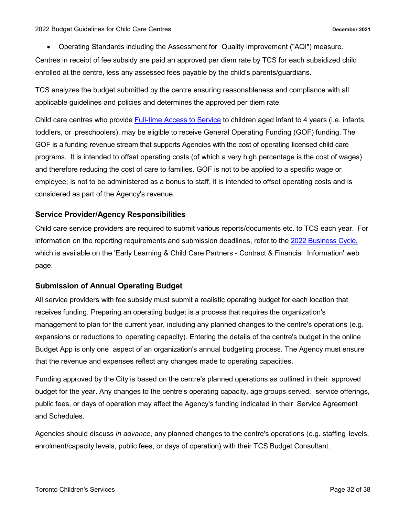• Operating Standards including the Assessment for Quality Improvement ("AQI") measure.

Centres in receipt of fee subsidy are paid an approved per diem rate by TCS for each subsidized child enrolled at the centre, less any assessed fees payable by the child's parents/guardians.

TCS analyzes the budget submitted by the centre ensuring reasonableness and compliance with all applicable guidelines and policies and determines the approved per diem rate.

Child care centres who provide [Full-time Access to Service](https://www.toronto.ca/community-people/community-partners/early-learning-child-care-partners/financial-information/full-time-access-to-service/) to children aged infant to 4 years (i.e. infants, toddlers, or preschoolers), may be eligible to receive General Operating Funding (GOF) funding. The GOF is a funding revenue stream that supports Agencies with the cost of operating licensed child care programs. It is intended to offset operating costs (of which a very high percentage is the cost of wages) and therefore reducing the cost of care to families. GOF is not to be applied to a specific wage or employee; is not to be administered as a bonus to staff, it is intended to offset operating costs and is considered as part of the Agency's revenue.

#### <span id="page-31-0"></span>**Service Provider/Agency Responsibilities**

Child care service providers are required to submit various reports/documents etc. to TCS each year. For information on the reporting requirements and submission deadlines, refer to the 2022 [Business Cycle,](https://www.toronto.ca/community-people/community-partners/early-learning-child-care-partners/financial-information/) which is available on the 'Early Learning & Child Care Partners - Contract & Financial Information' web page.

#### <span id="page-31-1"></span>**Submission of Annual Operating Budget**

All service providers with fee subsidy must submit a realistic operating budget for each location that receives funding. Preparing an operating budget is a process that requires the organization's management to plan for the current year, including any planned changes to the centre's operations (e.g. expansions or reductions to operating capacity). Entering the details of the centre's budget in the online Budget App is only one aspect of an organization's annual budgeting process. The Agency must ensure that the revenue and expenses reflect any changes made to operating capacities.

Funding approved by the City is based on the centre's planned operations as outlined in their approved budget for the year. Any changes to the centre's operating capacity, age groups served, service offerings, public fees, or days of operation may affect the Agency's funding indicated in their Service Agreement and Schedules.

Agencies should discuss *in advance*, any planned changes to the centre's operations (e.g. staffing levels, enrolment/capacity levels, public fees, or days of operation) with their TCS Budget Consultant.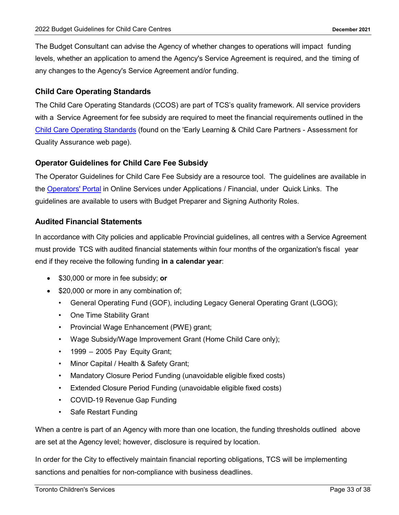The Budget Consultant can advise the Agency of whether changes to operations will impact funding levels, whether an application to amend the Agency's Service Agreement is required, and the timing of any changes to the Agency's Service Agreement and/or funding.

#### <span id="page-32-0"></span>**Child Care Operating Standards**

The Child Care Operating Standards (CCOS) are part of TCS's quality framework. All service providers with a Service Agreement for fee subsidy are required to meet the financial requirements outlined in the Child [Care Operating Standards](https://www.toronto.ca/wp-content/uploads/2019/01/8f5c-cs-aqi-child-care-operating-standards.pdf) (found on the 'Early Learning & Child Care Partners - Assessment for Quality Assurance web page).

#### <span id="page-32-1"></span>**Operator Guidelines for Child Care Fee Subsidy**

The Operator Guidelines for Child Care Fee Subsidy are a resource tool. The guidelines are available in the [Operators' Portal](https://secure.toronto.ca/csss/login/Welcome.do?SAMLRequest=eJxdj0FPwkAQhc%2F9F83eW1qFKBsKQYyRBLWhRRNvZTt012536s6W%2BPNdRRLDbTIz773vzRZfnQ6PYEmhyVgaJywEI7BWpsnYrnyIbtliPqOq0z1fDk6aLXwOQC4MvNAQ%2F71kbLCGY0WKuKk6IO4EL5ZPG34VJ7y36FCgZsH6PmN9a%2BReCWx1d1CNlH766GrTy06LthGq0njQEpGFwesZy7t4MdEAa0OuMs6vknQapUmUTsr0hk%2BmPJm%2BsyD%2Fi7pT5tTggiv%2Bz7U%2FPRF%2FLMs82kKtLAj3a3JUNdhnr8jYqlgXL6aU8AZ7FiyJwDoPtUJDQwe2AHtUAnbbTcakcz3x0YhADBZihxaNw1hUfDy%2BHl0Y9b1WovqxOufkOQsKwg02ypTYgi%2FORvNvr9mOZg%3D%3D&relayState=https%3A%2F%2Fsecure.toronto.ca%2FCSISOnTheWeb%2F&ssoLoginToken=null&appName=CSPP#xd_co_f=ZjA0MmQ4MjYtNDc2Yi00NWUxLWFlZWItODMxNzA2NDhmYzA2%7E) in Online Services under Applications / Financial, under Quick Links. The guidelines are available to users with Budget Preparer and Signing Authority Roles.

#### <span id="page-32-2"></span>**Audited Financial Statements**

In accordance with City policies and applicable Provincial guidelines, all centres with a Service Agreement must provide TCS with audited financial statements within four months of the organization's fiscal year end if they receive the following funding **in a calendar year**:

- \$30,000 or more in fee subsidy; **or**
- \$20,000 or more in any combination of;
	- General Operating Fund (GOF), including Legacy General Operating Grant (LGOG);
	- One Time Stability Grant
	- Provincial Wage Enhancement (PWE) grant;
	- Wage Subsidy/Wage Improvement Grant (Home Child Care only);
	- $\cdot$  1999 2005 Pay Equity Grant;
	- Minor Capital / Health & Safety Grant;
	- Mandatory Closure Period Funding (unavoidable eligible fixed costs)
	- Extended Closure Period Funding (unavoidable eligible fixed costs)
	- COVID-19 Revenue Gap Funding
	- Safe Restart Funding

When a centre is part of an Agency with more than one location, the funding thresholds outlined above are set at the Agency level; however, disclosure is required by location.

In order for the City to effectively maintain financial reporting obligations, TCS will be implementing sanctions and penalties for non-compliance with business deadlines.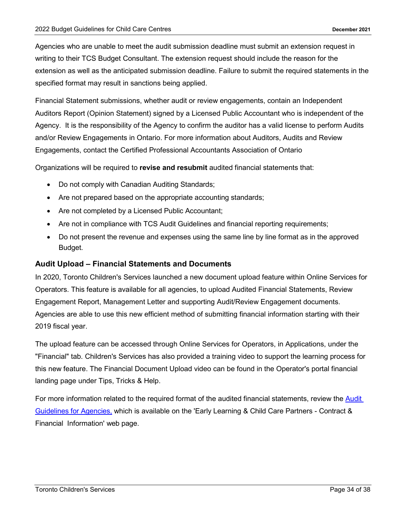Agencies who are unable to meet the audit submission deadline must submit an extension request in writing to their TCS Budget Consultant. The extension request should include the reason for the extension as well as the anticipated submission deadline. Failure to submit the required statements in the specified format may result in sanctions being applied.

Financial Statement submissions, whether audit or review engagements, contain an Independent Auditors Report (Opinion Statement) signed by a Licensed Public Accountant who is independent of the Agency. It is the responsibility of the Agency to confirm the auditor has a valid license to perform Audits and/or Review Engagements in Ontario. For more information about Auditors, Audits and Review Engagements, contact the Certified Professional Accountants Association of Ontario

Organizations will be required to **revise and resubmit** audited financial statements that:

- Do not comply with Canadian Auditing Standards;
- Are not prepared based on the appropriate accounting standards;
- Are not completed by a Licensed Public Accountant;
- Are not in compliance with TCS Audit Guidelines and financial reporting requirements;
- Do not present the revenue and expenses using the same line by line format as in the approved Budget.

#### **Audit Upload – Financial Statements and Documents**

In 2020, Toronto Children's Services launched a new document upload feature within Online Services for Operators. This feature is available for all agencies, to upload Audited Financial Statements, Review Engagement Report, Management Letter and supporting Audit/Review Engagement documents. Agencies are able to use this new efficient method of submitting financial information starting with their 2019 fiscal year.

The upload feature can be accessed through Online Services for Operators, in Applications, under the "Financial" tab. Children's Services has also provided a training video to support the learning process for this new feature. The Financial Document Upload video can be found in the Operator's portal financial landing page under Tips, Tricks & Help.

For more information related to the required format of the audited financial statements, review the [Audit](https://www.toronto.ca/wp-content/uploads/2019/01/8ed8-cs-audit-guidelines.pdf)  [Guidelines for Agencies,](https://www.toronto.ca/wp-content/uploads/2019/01/8ed8-cs-audit-guidelines.pdf) which is available on the 'Early Learning & Child Care Partners - Contract & Financial Information' web page.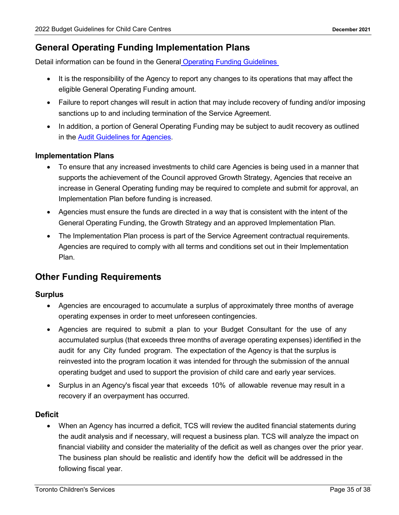## <span id="page-34-0"></span>**General Operating Funding Implementation Plans**

Detail information can be found in the General Operating Funding Guidelines

- It is the responsibility of the Agency to report any changes to its operations that may affect the eligible General Operating Funding amount.
- Failure to report changes will result in action that may include recovery of funding and/or imposing sanctions up to and including termination of the Service Agreement.
- In addition, a portion of General Operating Funding may be subject to audit recovery as outlined in the [Audit Guidelines for Agencies.](https://www.toronto.ca/wp-content/uploads/2019/01/8ed8-cs-audit-guidelines.pdf)

#### <span id="page-34-1"></span>**Implementation Plans**

- To ensure that any increased investments to child care Agencies is being used in a manner that supports the achievement of the Council approved Growth Strategy, Agencies that receive an increase in General Operating funding may be required to complete and submit for approval, an Implementation Plan before funding is increased.
- Agencies must ensure the funds are directed in a way that is consistent with the intent of the General Operating Funding, the Growth Strategy and an approved Implementation Plan.
- The Implementation Plan process is part of the Service Agreement contractual requirements. Agencies are required to comply with all terms and conditions set out in their Implementation Plan.

## <span id="page-34-2"></span>**Other Funding Requirements**

#### <span id="page-34-3"></span>**Surplus**

- Agencies are encouraged to accumulate a surplus of approximately three months of average operating expenses in order to meet unforeseen contingencies.
- Agencies are required to submit a plan to your Budget Consultant for the use of any accumulated surplus (that exceeds three months of average operating expenses) identified in the audit for any City funded program. The expectation of the Agency is that the surplus is reinvested into the program location it was intended for through the submission of the annual operating budget and used to support the provision of child care and early year services.
- Surplus in an Agency's fiscal year that exceeds 10% of allowable revenue may result in a recovery if an overpayment has occurred.

#### <span id="page-34-4"></span>**Deficit**

• When an Agency has incurred a deficit, TCS will review the audited financial statements during the audit analysis and if necessary, will request a business plan. TCS will analyze the impact on financial viability and consider the materiality of the deficit as well as changes over the prior year. The business plan should be realistic and identify how the deficit will be addressed in the following fiscal year.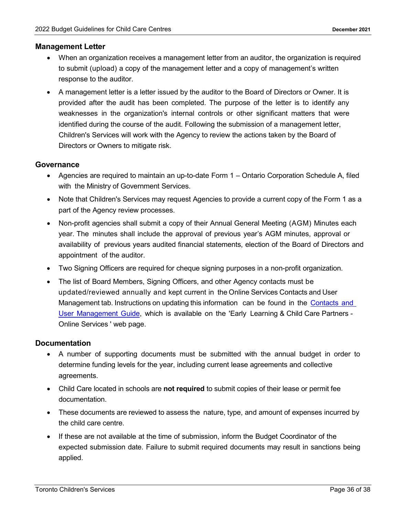#### <span id="page-35-0"></span>**Management Letter**

- When an organization receives a management letter from an auditor, the organization is required to submit (upload) a copy of the management letter and a copy of management's written response to the auditor.
- A management letter is a letter issued by the auditor to the Board of Directors or Owner. It is provided after the audit has been completed. The purpose of the letter is to identify any weaknesses in the organization's internal controls or other significant matters that were identified during the course of the audit. Following the submission of a management letter, Children's Services will work with the Agency to review the actions taken by the Board of Directors or Owners to mitigate risk.

#### <span id="page-35-1"></span>**Governance**

- Agencies are required to maintain an up-to-date Form 1 Ontario Corporation Schedule A, filed with the Ministry of Government Services.
- Note that Children's Services may request Agencies to provide a current copy of the Form 1 as a part of the Agency review processes.
- Non-profit agencies shall submit a copy of their Annual General Meeting (AGM) Minutes each year. The minutes shall include the approval of previous year's AGM minutes, approval or availability of previous years audited financial statements, election of the Board of Directors and appointment of the auditor.
- Two Signing Officers are required for cheque signing purposes in a non-profit organization.
- The list of Board Members, Signing Officers, and other Agency contacts must be updated/reviewed annually and kept current in the Online Services Contacts and User Management tab. Instructions on updating this information can be found in the [Contacts](https://www.toronto.ca/community-people/community-partners/early-learning-child-care-partners/online-services/) and User [Management](https://www.toronto.ca/community-people/community-partners/early-learning-child-care-partners/online-services/) Guide, which is available on the 'Early Learning & Child Care Partners - Online Services ' web page.

#### <span id="page-35-2"></span>**Documentation**

- A number of supporting documents must be submitted with the annual budget in order to determine funding levels for the year, including current lease agreements and collective agreements.
- Child Care located in schools are **not required** to submit copies of their lease or permit fee documentation.
- These documents are reviewed to assess the nature, type, and amount of expenses incurred by the child care centre.
- If these are not available at the time of submission, inform the Budget Coordinator of the expected submission date. Failure to submit required documents may result in sanctions being applied.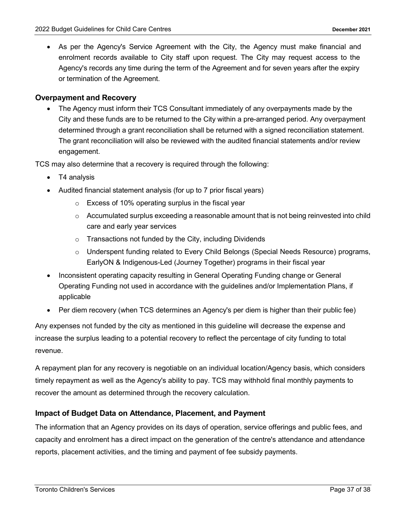As per the Agency's Service Agreement with the City, the Agency must make financial and enrolment records available to City staff upon request. The City may request access to the Agency's records any time during the term of the Agreement and for seven years after the expiry or termination of the Agreement.

#### <span id="page-36-0"></span>**Overpayment and Recovery**

• The Agency must inform their TCS Consultant immediately of any overpayments made by the City and these funds are to be returned to the City within a pre-arranged period. Any overpayment determined through a grant reconciliation shall be returned with a signed reconciliation statement. The grant reconciliation will also be reviewed with the audited financial statements and/or review engagement.

TCS may also determine that a recovery is required through the following:

- T4 analysis
- Audited financial statement analysis (for up to 7 prior fiscal years)
	- o Excess of 10% operating surplus in the fiscal year
	- $\circ$  Accumulated surplus exceeding a reasonable amount that is not being reinvested into child care and early year services
	- o Transactions not funded by the City, including Dividends
	- o Underspent funding related to Every Child Belongs (Special Needs Resource) programs, EarlyON & Indigenous-Led (Journey Together) programs in their fiscal year
- Inconsistent operating capacity resulting in General Operating Funding change or General Operating Funding not used in accordance with the guidelines and/or Implementation Plans, if applicable
- Per diem recovery (when TCS determines an Agency's per diem is higher than their public fee)

Any expenses not funded by the city as mentioned in this guideline will decrease the expense and increase the surplus leading to a potential recovery to reflect the percentage of city funding to total revenue.

A repayment plan for any recovery is negotiable on an individual location/Agency basis, which considers timely repayment as well as the Agency's ability to pay. TCS may withhold final monthly payments to recover the amount as determined through the recovery calculation.

#### <span id="page-36-1"></span>**Impact of Budget Data on Attendance, Placement, and Payment**

The information that an Agency provides on its days of operation, service offerings and public fees, and capacity and enrolment has a direct impact on the generation of the centre's attendance and attendance reports, placement activities, and the timing and payment of fee subsidy payments.